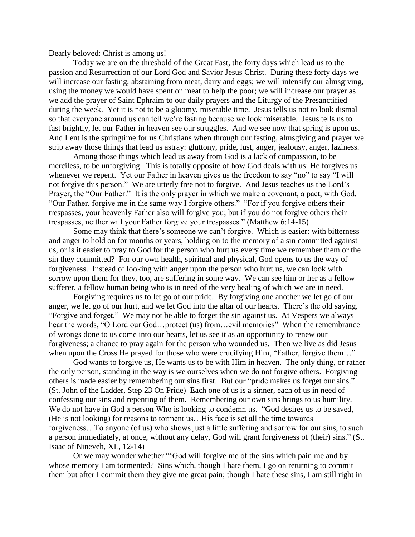Dearly beloved: Christ is among us!

Today we are on the threshold of the Great Fast, the forty days which lead us to the passion and Resurrection of our Lord God and Savior Jesus Christ. During these forty days we will increase our fasting, abstaining from meat, dairy and eggs; we will intensify our almsgiving, using the money we would have spent on meat to help the poor; we will increase our prayer as we add the prayer of Saint Ephraim to our daily prayers and the Liturgy of the Presanctified during the week. Yet it is not to be a gloomy, miserable time. Jesus tells us not to look dismal so that everyone around us can tell we're fasting because we look miserable. Jesus tells us to fast brightly, let our Father in heaven see our struggles. And we see now that spring is upon us. And Lent is the springtime for us Christians when through our fasting, almsgiving and prayer we strip away those things that lead us astray: gluttony, pride, lust, anger, jealousy, anger, laziness.

Among those things which lead us away from God is a lack of compassion, to be merciless, to be unforgiving. This is totally opposite of how God deals with us: He forgives us whenever we repent. Yet our Father in heaven gives us the freedom to say "no" to say "I will not forgive this person." We are utterly free not to forgive. And Jesus teaches us the Lord's Prayer, the "Our Father." It is the only prayer in which we make a covenant, a pact, with God. "Our Father, forgive me in the same way I forgive others." "For if you forgive others their trespasses, your heavenly Father also will forgive you; but if you do not forgive others their trespasses, neither will your Father forgive your trespasses." (Matthew 6:14-15)

Some may think that there's someone we can't forgive. Which is easier: with bitterness and anger to hold on for months or years, holding on to the memory of a sin committed against us, or is it easier to pray to God for the person who hurt us every time we remember them or the sin they committed? For our own health, spiritual and physical, God opens to us the way of forgiveness. Instead of looking with anger upon the person who hurt us, we can look with sorrow upon them for they, too, are suffering in some way. We can see him or her as a fellow sufferer, a fellow human being who is in need of the very healing of which we are in need.

Forgiving requires us to let go of our pride. By forgiving one another we let go of our anger, we let go of our hurt, and we let God into the altar of our hearts. There's the old saying, "Forgive and forget." We may not be able to forget the sin against us. At Vespers we always hear the words, "O Lord our God...protect (us) from...evil memories" When the remembrance of wrongs done to us come into our hearts, let us see it as an opportunity to renew our forgiveness; a chance to pray again for the person who wounded us. Then we live as did Jesus when upon the Cross He prayed for those who were crucifying Him, "Father, forgive them..."

God wants to forgive us, He wants us to be with Him in heaven. The only thing, or rather the only person, standing in the way is we ourselves when we do not forgive others. Forgiving others is made easier by remembering our sins first. But our "pride makes us forget our sins." (St. John of the Ladder, Step 23 On Pride) Each one of us is a sinner, each of us in need of confessing our sins and repenting of them. Remembering our own sins brings to us humility. We do not have in God a person Who is looking to condemn us. "God desires us to be saved, (He is not looking) for reasons to torment us…His face is set all the time towards forgiveness…To anyone (of us) who shows just a little suffering and sorrow for our sins, to such a person immediately, at once, without any delay, God will grant forgiveness of (their) sins." (St. Isaac of Nineveh, XL, 12-14)

Or we may wonder whether "'God will forgive me of the sins which pain me and by whose memory I am tormented? Sins which, though I hate them, I go on returning to commit them but after I commit them they give me great pain; though I hate these sins, I am still right in